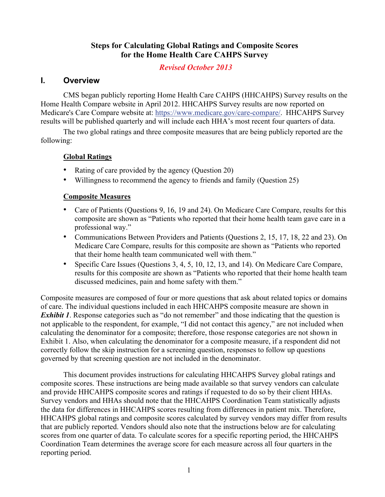# **Steps for Calculating Global Ratings and Composite Scores for the Home Health Care CAHPS Survey**

## *Revised October 2013*

# **I. Overview**

CMS began publicly reporting Home Health Care CAHPS (HHCAHPS) Survey results on the Home Health Compare website in April 2012. HHCAHPS Survey results are now reported on Medicare's Care Compare website at: [https://www.medicare.gov/care-compare/.](https://www.medicare.gov/care-compare/) HHCAHPS Survey results will be published quarterly and will include each HHA's most recent four quarters of data.

The two global ratings and three composite measures that are being publicly reported are the following:

#### **Global Ratings**

- Rating of care provided by the agency (Question 20)
- Willingness to recommend the agency to friends and family (Question 25)

#### **Composite Measures**

- Care of Patients (Questions 9, 16, 19 and 24). On Medicare Care Compare, results for this composite are shown as "Patients who reported that their home health team gave care in a professional way."
- Communications Between Providers and Patients (Questions 2, 15, 17, 18, 22 and 23). On Medicare Care Compare, results for this composite are shown as "Patients who reported that their home health team communicated well with them."
- Specific Care Issues (Questions 3, 4, 5, 10, 12, 13, and 14). On Medicare Care Compare, results for this composite are shown as "Patients who reported that their home health team discussed medicines, pain and home safety with them."

Composite measures are composed of four or more questions that ask about related topics or domains of care. The individual questions included in each HHCAHPS composite measure are shown in *Exhibit 1*. Response categories such as "do not remember" and those indicating that the question is not applicable to the respondent, for example, "I did not contact this agency," are not included when calculating the denominator for a composite; therefore, those response categories are not shown in Exhibit 1. Also, when calculating the denominator for a composite measure, if a respondent did not correctly follow the skip instruction for a screening question, responses to follow up questions governed by that screening question are not included in the denominator.

This document provides instructions for calculating HHCAHPS Survey global ratings and composite scores. These instructions are being made available so that survey vendors can calculate and provide HHCAHPS composite scores and ratings if requested to do so by their client HHAs. Survey vendors and HHAs should note that the HHCAHPS Coordination Team statistically adjusts the data for differences in HHCAHPS scores resulting from differences in patient mix. Therefore, HHCAHPS global ratings and composite scores calculated by survey vendors may differ from results that are publicly reported. Vendors should also note that the instructions below are for calculating scores from one quarter of data. To calculate scores for a specific reporting period, the HHCAHPS Coordination Team determines the average score for each measure across all four quarters in the reporting period.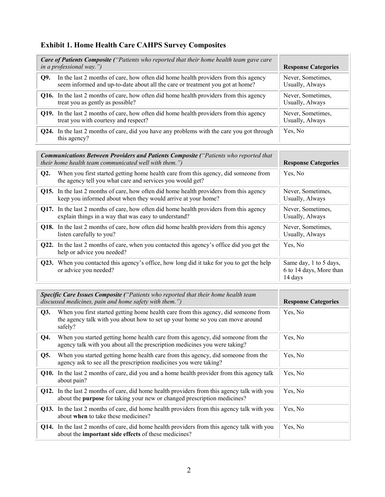# **Exhibit 1. Home Health Care CAHPS Survey Composites**

|     | Care of Patients Composite ("Patients who reported that their home health team gave care<br>in a professional way.")                                                | <b>Response Categories</b>           |
|-----|---------------------------------------------------------------------------------------------------------------------------------------------------------------------|--------------------------------------|
| O9. | In the last 2 months of care, how often did home health providers from this agency<br>seem informed and up-to-date about all the care or treatment you got at home? | Never, Sometimes,<br>Usually, Always |
|     | <b>Q16.</b> In the last 2 months of care, how often did home health providers from this agency<br>treat you as gently as possible?                                  | Never, Sometimes,<br>Usually, Always |
|     | Q19. In the last 2 months of care, how often did home health providers from this agency<br>treat you with courtesy and respect?                                     | Never, Sometimes,<br>Usually, Always |
|     | <b>Q24.</b> In the last 2 months of care, did you have any problems with the care you got through<br>this agency?                                                   | Yes, No                              |

|                   | <b>Communications Between Providers and Patients Composite ("Patients who reported that</b><br><i>their home health team communicated well with them.")</i>    | <b>Response Categories</b>                                   |
|-------------------|----------------------------------------------------------------------------------------------------------------------------------------------------------------|--------------------------------------------------------------|
| Q2.               | When you first started getting home health care from this agency, did someone from<br>the agency tell you what care and services you would get?                | Yes, No                                                      |
|                   | <b>Q15.</b> In the last 2 months of care, how often did home health providers from this agency<br>keep you informed about when they would arrive at your home? | Never, Sometimes,<br>Usually, Always                         |
|                   | <b>Q17.</b> In the last 2 months of care, how often did home health providers from this agency<br>explain things in a way that was easy to understand?         | Never, Sometimes,<br>Usually, Always                         |
|                   | <b>Q18.</b> In the last 2 months of care, how often did home health providers from this agency<br>listen carefully to you?                                     | Never, Sometimes,<br>Usually, Always                         |
|                   | Q22. In the last 2 months of care, when you contacted this agency's office did you get the<br>help or advice you needed?                                       | Yes, No                                                      |
| O <sub>23</sub> . | When you contacted this agency's office, how long did it take for you to get the help<br>or advice you needed?                                                 | Same day, 1 to 5 days,<br>6 to 14 days, More than<br>14 days |

|     | Specific Care Issues Composite ("Patients who reported that their home health team<br>discussed medicines, pain and home safety with them.")                                          | <b>Response Categories</b> |
|-----|---------------------------------------------------------------------------------------------------------------------------------------------------------------------------------------|----------------------------|
| Q3. | When you first started getting home health care from this agency, did someone from<br>the agency talk with you about how to set up your home so you can move around<br>safely?        | Yes, No                    |
| Q4. | When you started getting home health care from this agency, did someone from the<br>agency talk with you about all the prescription medicines you were taking?                        | Yes, No                    |
| Q5. | When you started getting home health care from this agency, did someone from the<br>agency ask to see all the prescription medicines you were taking?                                 | Yes, No                    |
|     | <b>Q10.</b> In the last 2 months of care, did you and a home health provider from this agency talk<br>about pain?                                                                     | Yes, No                    |
|     | <b>Q12.</b> In the last 2 months of care, did home health providers from this agency talk with you<br>about the <b>purpose</b> for taking your new or changed prescription medicines? | Yes, No                    |
|     | Q13. In the last 2 months of care, did home health providers from this agency talk with you<br>about when to take these medicines?                                                    | Yes, No                    |
|     | Q14. In the last 2 months of care, did home health providers from this agency talk with you<br>about the <b>important side effects</b> of these medicines?                            | Yes, No                    |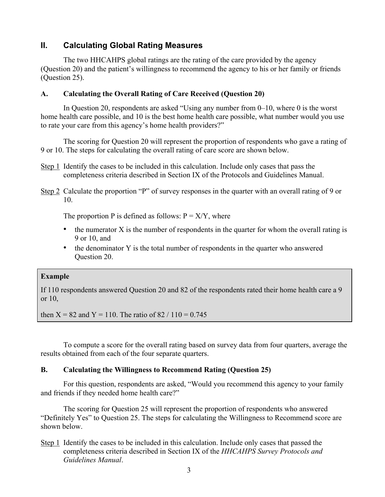# **II. Calculating Global Rating Measures**

The two HHCAHPS global ratings are the rating of the care provided by the agency (Question 20) and the patient's willingness to recommend the agency to his or her family or friends (Question 25).

#### **A. Calculating the Overall Rating of Care Received (Question 20)**

In Question 20, respondents are asked "Using any number from 0–10, where 0 is the worst home health care possible, and 10 is the best home health care possible, what number would you use to rate your care from this agency's home health providers?"

The scoring for Question 20 will represent the proportion of respondents who gave a rating of 9 or 10. The steps for calculating the overall rating of care score are shown below.

- Step 1 Identify the cases to be included in this calculation. Include only cases that pass the completeness criteria described in Section IX of the Protocols and Guidelines Manual.
- Step 2 Calculate the proportion "P" of survey responses in the quarter with an overall rating of 9 or 10.

The proportion P is defined as follows:  $P = X/Y$ , where

- $\bullet$  the numerator X is the number of respondents in the quarter for whom the overall rating is 9 or 10, and
- the denominator Y is the total number of respondents in the quarter who answered Question 20.

#### **Example**

If 110 respondents answered Question 20 and 82 of the respondents rated their home health care a 9 or 10,

then  $X = 82$  and  $Y = 110$ . The ratio of  $82 / 110 = 0.745$ 

To compute a score for the overall rating based on survey data from four quarters, average the results obtained from each of the four separate quarters.

### **B. Calculating the Willingness to Recommend Rating (Question 25)**

For this question, respondents are asked, "Would you recommend this agency to your family and friends if they needed home health care?"

The scoring for Question 25 will represent the proportion of respondents who answered "Definitely Yes" to Question 25. The steps for calculating the Willingness to Recommend score are shown below.

Step 1 Identify the cases to be included in this calculation. Include only cases that passed the completeness criteria described in Section IX of the *HHCAHPS Survey Protocols and Guidelines Manual*.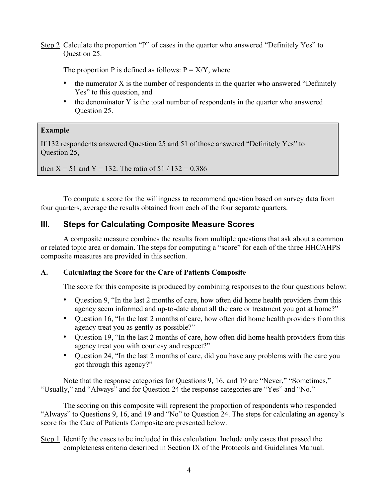Step 2 Calculate the proportion "P" of cases in the quarter who answered "Definitely Yes" to Question 25.

The proportion P is defined as follows:  $P = X/Y$ , where

- the numerator X is the number of respondents in the quarter who answered "Definitely" Yes" to this question, and
- the denominator Y is the total number of respondents in the quarter who answered Question 25.

# **Example**

If 132 respondents answered Question 25 and 51 of those answered "Definitely Yes" to Question 25,

then  $X = 51$  and  $Y = 132$ . The ratio of  $51 / 132 = 0.386$ 

To compute a score for the willingness to recommend question based on survey data from four quarters, average the results obtained from each of the four separate quarters.

# **III. Steps for Calculating Composite Measure Scores**

A composite measure combines the results from multiple questions that ask about a common or related topic area or domain. The steps for computing a "score" for each of the three HHCAHPS composite measures are provided in this section.

### **A. Calculating the Score for the Care of Patients Composite**

The score for this composite is produced by combining responses to the four questions below:

- Question 9, "In the last 2 months of care, how often did home health providers from this agency seem informed and up-to-date about all the care or treatment you got at home?"
- Question 16, "In the last 2 months of care, how often did home health providers from this agency treat you as gently as possible?"
- Question 19, "In the last 2 months of care, how often did home health providers from this agency treat you with courtesy and respect?"
- Question 24, "In the last 2 months of care, did you have any problems with the care you got through this agency?"

Note that the response categories for Questions 9, 16, and 19 are "Never," "Sometimes," "Usually," and "Always" and for Question 24 the response categories are "Yes" and "No."

The scoring on this composite will represent the proportion of respondents who responded "Always" to Questions 9, 16, and 19 and "No" to Question 24. The steps for calculating an agency's score for the Care of Patients Composite are presented below.

Step 1 Identify the cases to be included in this calculation. Include only cases that passed the completeness criteria described in Section IX of the Protocols and Guidelines Manual.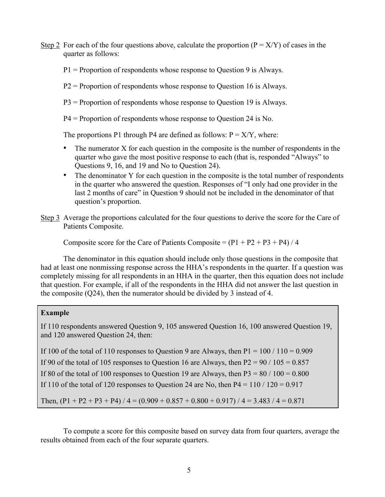- Step 2 For each of the four questions above, calculate the proportion  $(P = X/Y)$  of cases in the quarter as follows:
	- P1 = Proportion of respondents whose response to Question 9 is Always.
	- P2 = Proportion of respondents whose response to Question 16 is Always.
	- P3 = Proportion of respondents whose response to Question 19 is Always.
	- P4 = Proportion of respondents whose response to Question 24 is No.

The proportions P1 through P4 are defined as follows:  $P = X/Y$ , where:

- The numerator X for each question in the composite is the number of respondents in the quarter who gave the most positive response to each (that is, responded "Always" to Questions 9, 16, and 19 and No to Question 24).
- The denominator Y for each question in the composite is the total number of respondents in the quarter who answered the question. Responses of "I only had one provider in the last 2 months of care" in Question 9 should not be included in the denominator of that question's proportion.
- Step 3 Average the proportions calculated for the four questions to derive the score for the Care of Patients Composite.

Composite score for the Care of Patients Composite  $= (P1 + P2 + P3 + P4)/4$ 

The denominator in this equation should include only those questions in the composite that had at least one nonmissing response across the HHA's respondents in the quarter. If a question was completely missing for all respondents in an HHA in the quarter, then this equation does not include that question. For example, if all of the respondents in the HHA did not answer the last question in the composite (Q24), then the numerator should be divided by 3 instead of 4.

#### **Example**

If 110 respondents answered Question 9, 105 answered Question 16, 100 answered Question 19, and 120 answered Question 24, then:

If 100 of the total of 110 responses to Question 9 are Always, then  $P1 = 100 / 110 = 0.909$ If 90 of the total of 105 responses to Question 16 are Always, then  $P2 = 90 / 105 = 0.857$ If 80 of the total of 100 responses to Question 19 are Always, then  $P3 = 80 / 100 = 0.800$ If 110 of the total of 120 responses to Question 24 are No, then  $P4 = 110 / 120 = 0.917$ 

Then,  $(P1 + P2 + P3 + P4) / 4 = (0.909 + 0.857 + 0.800 + 0.917) / 4 = 3.483 / 4 = 0.871$ 

To compute a score for this composite based on survey data from four quarters, average the results obtained from each of the four separate quarters.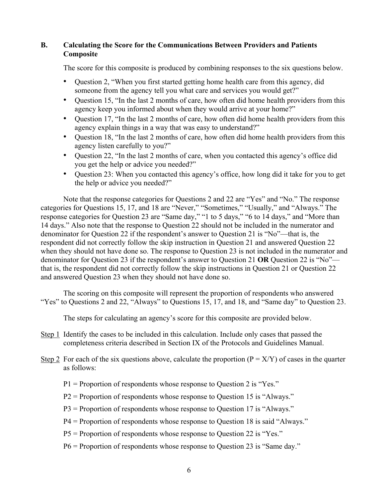### **B. Calculating the Score for the Communications Between Providers and Patients Composite**

The score for this composite is produced by combining responses to the six questions below.

- Question 2, "When you first started getting home health care from this agency, did someone from the agency tell you what care and services you would get?"
- Question 15, "In the last 2 months of care, how often did home health providers from this agency keep you informed about when they would arrive at your home?"
- Question 17, "In the last 2 months of care, how often did home health providers from this agency explain things in a way that was easy to understand?"
- Question 18, "In the last 2 months of care, how often did home health providers from this agency listen carefully to you?"
- Question 22, "In the last 2 months of care, when you contacted this agency's office did you get the help or advice you needed?"
- Question 23: When you contacted this agency's office, how long did it take for you to get the help or advice you needed?"

Note that the response categories for Questions 2 and 22 are "Yes" and "No." The response categories for Questions 15, 17, and 18 are "Never," "Sometimes," "Usually," and "Always." The response categories for Question 23 are "Same day," "1 to 5 days," "6 to 14 days," and "More than 14 days." Also note that the response to Question 22 should not be included in the numerator and denominator for Question 22 if the respondent's answer to Question 21 is "No"—that is, the respondent did not correctly follow the skip instruction in Question 21 and answered Question 22 when they should not have done so. The response to Question 23 is not included in the numerator and denominator for Question 23 if the respondent's answer to Question 21 **OR** Question 22 is "No" that is, the respondent did not correctly follow the skip instructions in Question 21 or Question 22 and answered Question 23 when they should not have done so.

The scoring on this composite will represent the proportion of respondents who answered "Yes" to Questions 2 and 22, "Always" to Questions 15, 17, and 18, and "Same day" to Question 23.

The steps for calculating an agency's score for this composite are provided below.

- Step 1 Identify the cases to be included in this calculation. Include only cases that passed the completeness criteria described in Section IX of the Protocols and Guidelines Manual.
- Step 2 For each of the six questions above, calculate the proportion  $(P = X/Y)$  of cases in the quarter as follows:
	- $P1$  = Proportion of respondents whose response to Ouestion 2 is "Yes."
	- P2 = Proportion of respondents whose response to Question 15 is "Always."
	- P3 = Proportion of respondents whose response to Question 17 is "Always."
	- P4 = Proportion of respondents whose response to Question 18 is said "Always."
	- P5 = Proportion of respondents whose response to Question 22 is "Yes."
	- P6 = Proportion of respondents whose response to Question 23 is "Same day."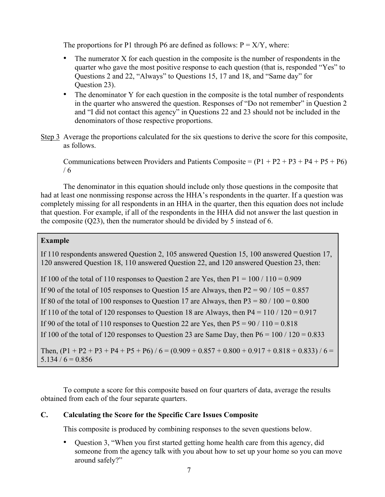The proportions for P1 through P6 are defined as follows:  $P = X/Y$ , where:

- The numerator  $X$  for each question in the composite is the number of respondents in the quarter who gave the most positive response to each question (that is, responded "Yes" to Questions 2 and 22, "Always" to Questions 15, 17 and 18, and "Same day" for Question 23).
- The denominator Y for each question in the composite is the total number of respondents in the quarter who answered the question. Responses of "Do not remember" in Question 2 and "I did not contact this agency" in Questions 22 and 23 should not be included in the denominators of those respective proportions.
- Step 3 Average the proportions calculated for the six questions to derive the score for this composite, as follows.

Communications between Providers and Patients Composite =  $(P1 + P2 + P3 + P4 + P5 + P6)$ / 6

The denominator in this equation should include only those questions in the composite that had at least one nonmissing response across the HHA's respondents in the quarter. If a question was completely missing for all respondents in an HHA in the quarter, then this equation does not include that question. For example, if all of the respondents in the HHA did not answer the last question in the composite (Q23), then the numerator should be divided by 5 instead of 6.

### **Example**

If 110 respondents answered Question 2, 105 answered Question 15, 100 answered Question 17, 120 answered Question 18, 110 answered Question 22, and 120 answered Question 23, then:

If 100 of the total of 110 responses to Question 2 are Yes, then  $P1 = 100 / 110 = 0.909$ 

If 90 of the total of 105 responses to Question 15 are Always, then  $P2 = 90 / 105 = 0.857$ 

If 80 of the total of 100 responses to Question 17 are Always, then  $P3 = 80 / 100 = 0.800$ 

If 110 of the total of 120 responses to Question 18 are Always, then  $P4 = 110 / 120 = 0.917$ 

If 90 of the total of 110 responses to Question 22 are Yes, then  $P5 = 90 / 110 = 0.818$ 

If 100 of the total of 120 responses to Question 23 are Same Day, then  $P6 = 100 / 120 = 0.833$ 

Then,  $(P1 + P2 + P3 + P4 + P5 + P6) / 6 = (0.909 + 0.857 + 0.800 + 0.917 + 0.818 + 0.833) / 6 =$  $5.134 / 6 = 0.856$ 

To compute a score for this composite based on four quarters of data, average the results obtained from each of the four separate quarters.

### **C. Calculating the Score for the Specific Care Issues Composite**

This composite is produced by combining responses to the seven questions below.

• Question 3, "When you first started getting home health care from this agency, did someone from the agency talk with you about how to set up your home so you can move around safely?"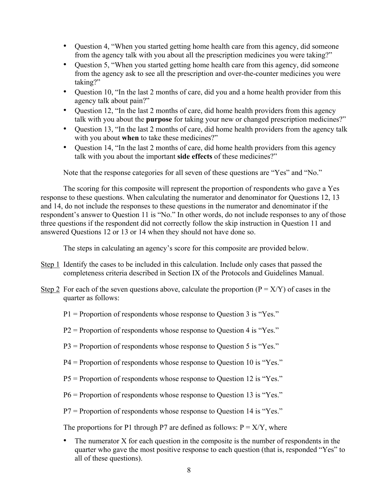- Question 4, "When you started getting home health care from this agency, did someone from the agency talk with you about all the prescription medicines you were taking?"
- Question 5, "When you started getting home health care from this agency, did someone from the agency ask to see all the prescription and over-the-counter medicines you were taking?"
- Question 10, "In the last 2 months of care, did you and a home health provider from this agency talk about pain?"
- Question 12, "In the last 2 months of care, did home health providers from this agency talk with you about the **purpose** for taking your new or changed prescription medicines?"
- Question 13, "In the last 2 months of care, did home health providers from the agency talk with you about **when** to take these medicines?"
- Question 14, "In the last 2 months of care, did home health providers from this agency talk with you about the important **side effects** of these medicines?"

Note that the response categories for all seven of these questions are "Yes" and "No."

The scoring for this composite will represent the proportion of respondents who gave a Yes response to these questions. When calculating the numerator and denominator for Questions 12, 13 and 14, do not include the responses to these questions in the numerator and denominator if the respondent's answer to Question 11 is "No." In other words, do not include responses to any of those three questions if the respondent did not correctly follow the skip instruction in Question 11 and answered Questions 12 or 13 or 14 when they should not have done so.

The steps in calculating an agency's score for this composite are provided below.

- Step 1 Identify the cases to be included in this calculation. Include only cases that passed the completeness criteria described in Section IX of the Protocols and Guidelines Manual.
- Step 2 For each of the seven questions above, calculate the proportion ( $P = X/Y$ ) of cases in the quarter as follows:
	- P1 = Proportion of respondents whose response to Question 3 is "Yes."
	- P2 = Proportion of respondents whose response to Question 4 is "Yes."
	- P3 = Proportion of respondents whose response to Question 5 is "Yes."
	- P4 = Proportion of respondents whose response to Question 10 is "Yes."
	- P5 = Proportion of respondents whose response to Question 12 is "Yes."
	- P6 = Proportion of respondents whose response to Question 13 is "Yes."
	- P7 = Proportion of respondents whose response to Question 14 is "Yes."

The proportions for P1 through P7 are defined as follows:  $P = X/Y$ , where

• The numerator X for each question in the composite is the number of respondents in the quarter who gave the most positive response to each question (that is, responded "Yes" to all of these questions).